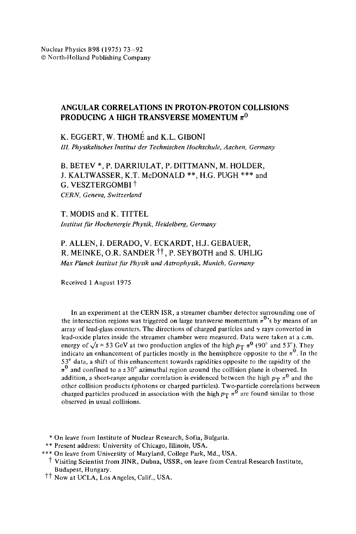## **ANGULAR CORRELATIONS IN PROTON-PROTON COLLISIONS PRODUCING A HIGH TRANSVERSE MOMENTUM**  $\pi^0$

K. EGGERT, W. THOME and K.L. GIBONI *Ill. Physikalisches Institut der Technisehen Hochschule, Aachen, Germany* 

B. BETEV \*, P. DARRIULAT, P..DITTMANN, M. HOLDER, J. KALTWASSER, K.T. McDONALD \*\*, H.G. PUGH \*\*\* and G. VESZTERGOMBI<sup>†</sup> *CERN, Geneva, Switzerland* 

T. MODIS and K. TITTEL *Institut für Hochenergie Physik, Heidelberg, Germany* 

P. ALLEN, I. DERADO, V. ECKARDT, H.J. GEBAUER, R. MEINKE, O.R. SANDER <sup>††</sup>, P. SEYBOTH and S. UHLIG *Max Planck Institut fgtr Physik und Astrophysik, Munich, Germany* 

Received 1 August 1975

In an experiment at the CERN ISR, a streamer chamber detector surrounding one of the intersection regions was triggered on large transverse momentum  $\pi^0$ 's by means of an array of lead-glass counters. The directions of charged particles and  $\gamma$  rays converted in lead-oxide plates inside the streamer chamber were measured. Data were taken at a c.m. energy of  $\sqrt{s}$  = 53 GeV at two production angles of the high  $p_T \pi^0$  (90° and 53°). They indicate an enhancement of particles mostly in the hemisphere opposite to the  $\pi^0$ . In the 53 ° data, a shift of this enhancement towards rapidities opposite to the rapidity of the  $\pi^0$  and confined to a  $\pm 30^\circ$  azimuthal region around the collision plane is observed. In addition, a short-range angular correlation is evidenced between the high  $p_T \pi^0$  and the other collision products (photons or charged particles). Two-particle correlations between charged particles produced in association with the high  $p_T \pi^0$  are found similar to those observed in usual collisions.

\* On leave from Institute of Nuclear Research, Sofia, Bulgaria.

- \*\* Present address: University of Chicago, Illinois, USA.
- \*\*\* On leave from University of Maryland, College Park, Md., USA.
	- $\dagger$  Visiting Scientist from JINR, Dubna, USSR, on leave from Central Research Institute, Budapest, Hungary.
- <sup>††</sup> Now at UCLA, Los Angeles, Calif., USA.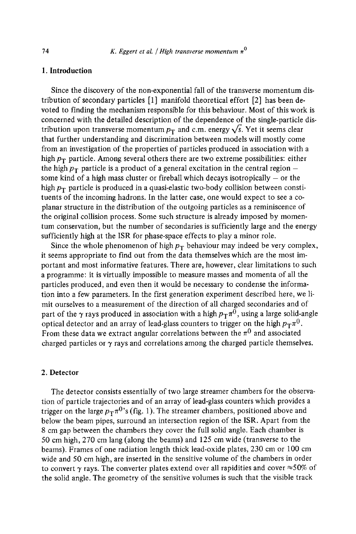## 1. Introduction

Since the discovery of the non-exponential fall of the transverse momentum distribution of secondary particles  $[1]$  manifold theoretical effort  $[2]$  has been devoted to finding the mechanism responsible for this behaviour. Most of this work is concerned with the detailed description of the dependence of the single-particle distribution upon transverse momentum  $p_T$  and c.m. energy  $\sqrt{s}$ . Yet it seems clear that further understanding and discrimination between models will mostly come from an investigation of the properties of particles produced in association with a high  $p_T$  particle. Among several others there are two extreme possibilities: either the high  $p_T$  particle is a product of a general excitation in the central region some kind of a high mass cluster or fireball which decays isotropically  $-$  or the high  $p_T$  particle is produced in a quasi-elastic two-body collision between constituents of the incoming hadrons. In the latter case, one would expect to see a coplanar structure in the distribution of the outgoing particles as a reminiscence of the original collision process. Some such structure is already imposed by momentum conservation, but the number of secondaries is sufficiently large and the energy sufficiently high at the ISR for phase-space effects to play a minor role.

Since the whole phenomenon of high  $p_T$  behaviour may indeed be very complex, it seems appropriate to find out from the data themselves which are the most important and most informative features. There are, however, clear limitations to such a programme: it is virtually impossible to measure masses and momenta of all the particles produced, and even then it would be necessary to condense the information into a few parameters. In the first generation experiment described here, we limit ourselves to a measurement of the direction of all charged secondaries and of part of the  $\gamma$  rays produced in association with a high  $p_T\pi^0$ , using a large solid-angle optical detector and an array of lead-glass counters to trigger on the high  $p_T\pi^0$ . From these data we extract angular correlations between the  $\pi^0$  and associated charged particles or  $\gamma$  rays and correlations among the charged particle themselves.

### **2. Detector**

The detector consists essentially of two large streamer chambers for the observation of particle trajectories and of an array of lead-glass counters which provides a trigger on the large  $p_T\pi^{0}$ 's (fig. 1). The streamer chambers, positioned above and below the beam pipes, surround an intersection region of the ISR. Apart from the 8 cm gap between the chambers they cover the full solid angle. Each chamber is 50 cm high, 270 cm lang (along the beams) and 125 cm wide (transverse to the beams). Frames of one radiation length thick lead-oxide plates, 230 cm or 100 cm wide and 50 cm high, are inserted in the sensitive volume of the chambers in order to convert  $\gamma$  rays. The converter plates extend over all rapidities and cover  $\approx$  50% of the solid angle. The geometry of the sensitive volumes is such that the visible track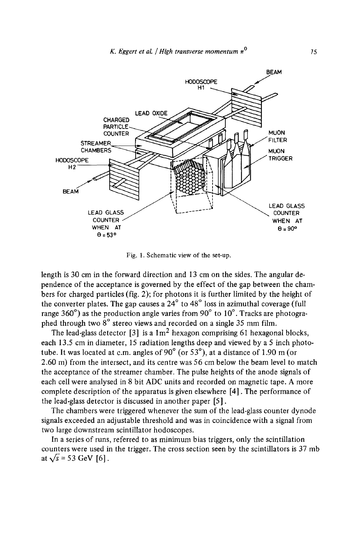

Fig. 1. Schematic view of the set-up.

length is 30 cm in the forward direction and 13 cm on the sides. The angular dependence of the acceptance is governed by the effect of the gap between the chambers for charged particles (fig. 2); for photons it is further limited by the height of the converter plates. The gap causes a  $24^{\circ}$  to  $48^{\circ}$  loss in azimuthal coverage (full range  $360^\circ$ ) as the production angle varies from  $90^\circ$  to  $10^\circ$ . Tracks are photographed through two  $8^\circ$  stereo views and recorded on a single 35 mm film.

The lead-glass detector [3] is a  $1 \text{ m}^2$  hexagon comprising 61 hexagonal blocks, each 13.5 cm in diameter, 15 radiation lengths deep and viewed by a 5 inch phototube. It was located at c.m. angles of 90 $^{\circ}$  (or 53 $^{\circ}$ ), at a distance of 1.90 m (or 2.60 m) from the intersect, and its centre was 56 cm below the beam level to match the acceptance of the streamer chamber. The pulse heights of the anode signals of each cell were analysed in 8 bit ADC units and recorded on magnetic tape. A more complete description of the apparatus is given elsewhere [4]. The performance of the lead-glass detector is discussed in another paper [5].

The chambers were triggered whenever the sum of the lead-glass counter dynode signals exceeded an adjustable threshold and was in coincidence with a signal from two large downstream scintillator hodoscopes.

In a series of runs, referred to as minimum bias triggers, only the scintillation counters were used in the trigger. The cross section seen by the scintillators is 37 mb at  $\sqrt{s}$  = 53 GeV [6].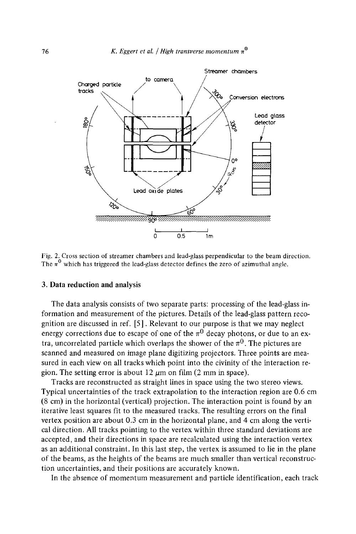

Fig. 2. Cross section of streamer chambers and lead-glass perpendicular to the beam direction. The  $\pi^0$  which has triggered the lead-glass detector defines the zero of azimuthal angle.

#### 3. **Data reduction and** analysis

The data analysis consists of two separate parts: processing of the lead-glass information and measurement of the pictures. Details of the lead-glass pattern recognition are discussed in ref. [5]. Relevant to our purpose is that we may neglect energy corrections due to escape of one of the  $\pi^0$  decay photons, or due to an extra, uncorrelated particle which overlaps the shower of the  $\pi^{0}$ . The pictures are scanned and measured on image plane digitizing projectors. Three points are measured in each view on all tracks which point into the civinity of the interaction region. The setting error is about 12  $\mu$ m on film (2 mm in space).

Tracks are reconstructed as straight lines in space using the two stereo views. Typical uncertainties of the track extrapolation to the interaction region are 0.6 cm (8 cm) in the horizontal (vertical) projection. The interaction point is found by an iterative least squares fit to the measured tracks. The resulting errors on the final vertex position are about 0.3 cm in the horizontal plane, and 4 cm along the vertical direction. All tracks pointing to the vertex within three standard deviations are accepted, and their directions in space are recalculated using the interaction vertex as an additional constraint. In this last step, the vertex is assumed to lie in the plane of the beams, as the heights of the beams are much smaller than vertical reconstruction uncertainties, and their positions are accurately known.

In the absence of momentum measurement and particle identification, each track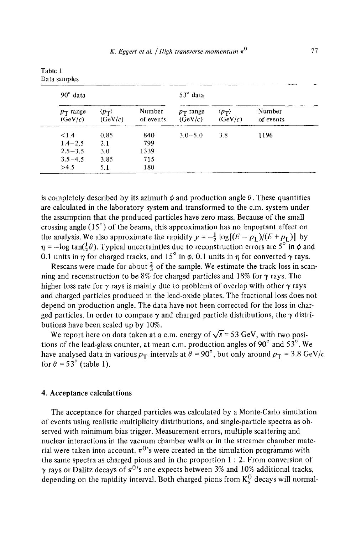| $90^\circ$ data        |                                  |                     | $53^\circ$ data        |                                  |                     |  |
|------------------------|----------------------------------|---------------------|------------------------|----------------------------------|---------------------|--|
| $p_T$ range<br>(GeV/c) | $\langle p_T \rangle$<br>(GeV/c) | Number<br>of events | $p_T$ range<br>(GeV/c) | $\langle p_T \rangle$<br>(GeV/c) | Number<br>of events |  |
| < 1.4                  | 0.85                             | 840                 | $3.0 - 5.0$            | 3.8                              | 1196                |  |
| $1.4 - 2.5$            | 2.1                              | 799                 |                        |                                  |                     |  |
| $2.5 - 3.5$            | 3.0                              | 1339                |                        |                                  |                     |  |
| $3.5 - 4.5$            | 3.85                             | 715                 |                        |                                  |                     |  |
| >4.5                   | 5.1                              | 180                 |                        |                                  |                     |  |

Table 1 Data samples

is completely described by its azimuth  $\phi$  and production angle  $\theta$ . These quantities are calculated in the laboratory system and transformed to the c.m. system under the assumption that the produced particles have zero mass. Because of the small crossing angle  $(15^{\circ})$  of the beams, this approximation has no important effect on the analysis. We also approximate the rapidity  $y = -\frac{1}{2} \log[(E - p_1)/(E + p_1)]$  by  $\eta = -\log \tan(\frac{1}{2}\theta)$ . Typical uncertainties due to reconstruction errors are 5<sup>°</sup> in  $\phi$  and 0.1 units in  $\eta$  for charged tracks, and 15° in  $\phi$ , 0.1 units in  $\eta$  for converted  $\gamma$  rays.

Rescans were made for about  $\frac{2}{3}$  of the sample. We estimate the track loss in scanning and reconstruction to be 8% for charged particles and 18% for  $\gamma$  rays. The higher loss rate for  $\gamma$  rays is mainly due to problems of overlap with other  $\gamma$  rays and charged particles produced in the lead-oxide plates. The fractional loss does not depend on production angle. The data have not been corrected for the loss in charged particles. In order to compare  $\gamma$  and charged particle distributions, the  $\gamma$  distributions have been scaled up by 10%.

We report here on data taken at a c.m. energy of  $\sqrt{s}$  = 53 GeV, with two positions of the lead-glass counter, at mean c.m. production angles of 90 $^{\circ}$  and 53 $^{\circ}$ . We have analysed data in various  $p_T$  intervals at  $\theta = 90^\circ$ , but only around  $p_T = 3.8 \text{ GeV}/c$ for  $\theta = 53^\circ$  (table 1).

### 4. Acceptance calculattions

The acceptance for charged particles was calculated by a Monte-Carlo simulation of events using realistic multiplicity distributions, and single-particle spectra as observed with minimum bias trigger. Measurement errors, multiple scattering and nuclear interactions in the vacuum chamber walls or in the streamer chamber material were taken into account,  $\pi^0$ 's were created in the simulation programme with the same spectra as charged pions and in the proportion 1 : 2. From conversion of  $\gamma$  rays or Dalitz decays of  $\pi^{0}$ 's one expects between 3% and 10% additional tracks, depending on the rapidity interval. Both charged pions from  $K_8^0$  decays will normal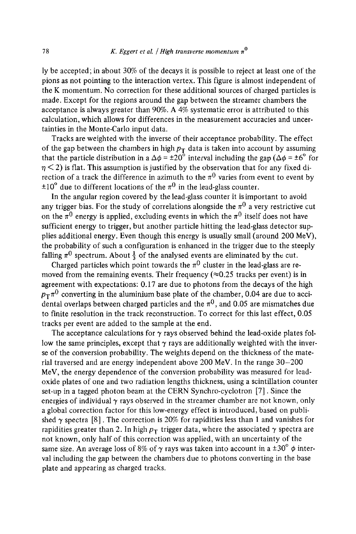ly be accepted; in about 30% of the decays it is possible to reject at least one of the pions as not pointing to the interaction vertex. This figure is almost independent of the K momentum. No correction for these additional sources of charged particles is made. Except for the regions around the gap between the streamer chambers the acceptance is always greater than 90%. A 4% systematic error is attributed to this calculation, which allows for differences in the measurement accuracies and uncertainties in the Monte-Carlo input data.

Tracks are weighted with the inverse of their acceptance probability. The effect of the gap between the chambers in high  $p_T$  data is taken into account by assuming that the particle distribution in a  $\Delta \phi = \pm 20^{\circ}$  interval including the gap ( $\Delta \phi = \pm 6^{\circ}$  for  $n < 2$ ) is flat. This assumption is justified by the observation that for any fixed direction of a track the difference in azimuth to the  $\pi^0$  varies from event to event by  $\pm 10^{\circ}$  due to different locations of the  $\pi^{0}$  in the lead-glass counter.

In the angular region covered by the lead-glass counter it is important to avoid any trigger bias. For the study of correlations alongside the  $\pi^0$  a very restrictive cut on the  $\pi^0$  energy is applied, excluding events in which the  $\pi^0$  itself does not have sufficient energy to trigger, but another particle hitting the lead-glass detector supplies additional energy. Even though this energy is usually small (around 200 MeV), the probability of such a configuration is enhanced in the trigger due to the steeply falling  $\pi^0$  spectrum. About  $\frac{1}{3}$  of the analysed events are eliminated by the cut.

Charged particles which point towards the  $\pi^0$  cluster in the lead-glass are removed from the remaining events. Their frequency ( $\approx$ 0.25 tracks per event) is in agreement with expectations: 0.17 are due to photons from the decays of the high  $p_T\pi^0$  converting in the aluminium base plate of the chamber, 0.04 are due to accidental overlaps between charged particles and the  $\pi^0$ , and 0.05 are mismatches due to finite resolution in the track reconstruction. To correct for this last effect, 0.05 tracks per event are added to the sample at the end.

The acceptance calculations for  $\gamma$  rays observed behind the lead-oxide plates follow the same principles, except that  $\gamma$  rays are additionally weighted with the inverse of the conversion probability. The weights depend on the thickness of the material traversed and are energy independent above 200 MeV. In the range 30-200 MeV, the energy dependence of the conversion probability was measured for leadoxide plates of one and two radiation lengths thickness, using a scintillation counter set-up in a tagged photon beam at the CERN Synchro-cyclotron [7]. Since the energies of individual  $\gamma$  rays observed in the streamer chamber are not known, only a global correction factor for this low-energy effect is introduced, based on published  $\gamma$  spectra [8]. The correction is 20% for rapidities less than 1 and vanishes for rapidities greater than 2. In high  $p_T$  trigger data, where the associated  $\gamma$  spectra are not known, only half of this correction was applied, with an uncertainty of the same size. An average loss of 8% of  $\gamma$  rays was taken into account in a  $\pm 30^\circ \phi$  interval including the gap between the chambers due to photons converting in the base plate and appearing as charged tracks.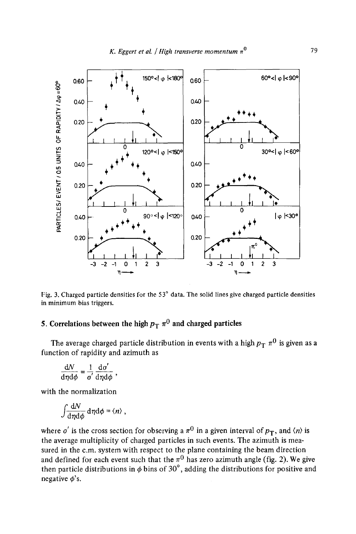

Fig. 3. Charged particle densities for the 53° data. The solid lines give charged particle densities in minimum bias triggers.

# 5. Correlations between the high  $p_T \pi^0$  and charged particles

The average charged particle distribution in events with a high  $p_T ~\pi^0$  is given as a function of rapidity and azimuth as

$$
\frac{\mathrm{d}N}{\mathrm{d}\eta\mathrm{d}\phi}=\frac{1}{\sigma^{'}}\frac{\mathrm{d}\sigma^{'}}{\mathrm{d}\eta\mathrm{d}\phi}\;,
$$

with *the* normalization

$$
\int \frac{\mathrm{d}N}{\mathrm{d}\eta \mathrm{d}\phi} \,\mathrm{d}\eta \mathrm{d}\phi = \langle n \rangle \;,
$$

where  $\sigma'$  is the cross section for observing a  $\pi^0$  in a given interval of  $p_T$ , and  $\langle n \rangle$  is the average multiplicity of charged particles in such events. The azimuth is measured in the c.m. system with respect to the plane containing the beam direction and defined for each event such that the  $\pi^0$  has zero azimuth angle (fig. 2). We give then particle distributions in  $\phi$  bins of 30°, adding the distributions for positive and negative  $\phi$ 's.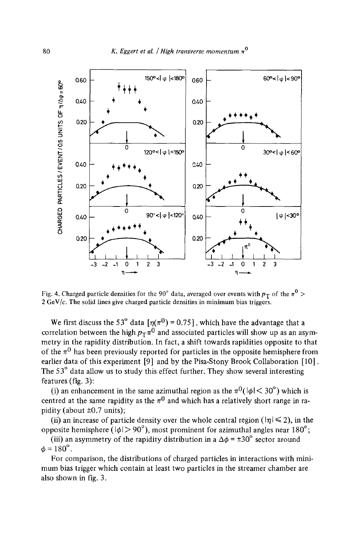

Fig. 4. Charged particle densities for the 90° data, averaged over events with  $p_T$  of the  $\pi^0$  >  $2 \text{ GeV}/c$ . The solid lines give charged particle densities in minimum bias triggers.

We first discuss the 53° data  $[\eta(\pi^0) = 0.75]$ , which have the advantage that a correlation between the high  $p_T \pi^0$  and associated particles will show up as an asymmetry in the rapidity distribution. In fact, a shift towards rapidities opposite to that of the  $\pi^0$  has been previously reported for particles in the opposite hemisphere from earlier data of this experiment [9] and by the Pisa-Stony Brook Collaboration [10]. The 53° data allow us to study this effect further. They show several interesting features (fig. 3):

(i) an enhancement in the same azimuthal region as the  $\pi^0(|\phi| < 30^\circ)$  which is centred at the same rapidity as the  $\pi^0$  and which has a relatively short range in rapidity (about  $\pm 0.7$  units);

(ii) an increase of particle density over the whole central region ( $|\eta| \leq 2$ ), in the opposite hemisphere ( $|\phi| > 90^{\circ}$ ), most prominent for azimuthal angles near 180°;

(iii) an asymmetry of the rapidity distribution in a  $\Delta \phi = \pm 30^{\circ}$  sector around  $\phi = 180^{\circ}$ .

For comparison, the distributions of charged particles in interactions with minimum bias trigger which contain at least two particles in the streamer chamber are also shown in fig. 3.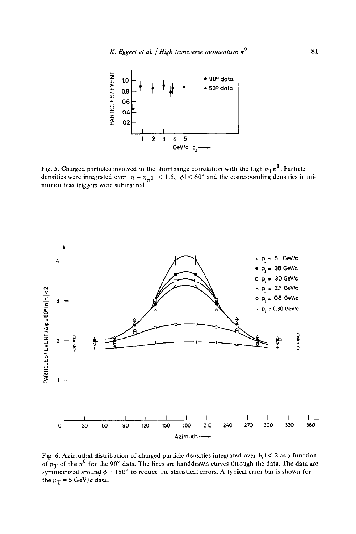

Fig. 5. Charged particles involved in the short-range correlation with the high  $p_T\pi^0$ . Particle densities were integrated over  $|\eta - \eta_{\pi} 0|$  < 1.5,  $|\phi|$  < 60° and the corresponding densities in minimum bias triggers were subtracted.



Fig. 6. Azimuthal distribution of charged particle densities integrated over  $|\eta|$  < 2 as a function of  $p_T$  of the  $\pi^0$  for the 90° data. The lines are handdrawn curves through the data. The data are symmetrized around  $\phi = 180^\circ$  to reduce the statistical errors. A typical error bar is shown for the  $p_T = 5$  GeV/c data.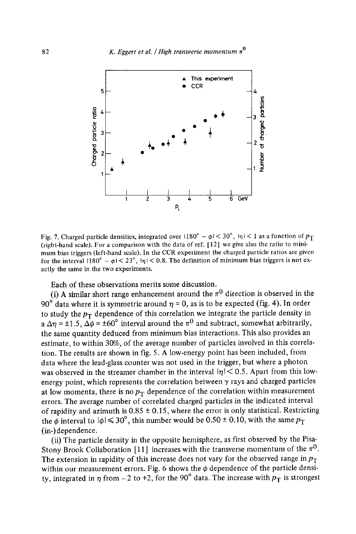

Fig. 7. Charged particle densities, integrated over  $1180^\circ - \phi \le 30^\circ$ ,  $|\eta| < 1$  as a function of  $p_T$ (right-hand scale). For a comparison with the data of ref. [ 12] we give also the ratio to minimum bias triggers (left-hand scale). In the CCR experiment the charged particle ratios are given for the interval  $1180^\circ - \phi \leq 23^\circ$ ,  $|\eta| < 0.8$ . The definition of minimum bias triggers is not exactly the same in the two experiments.

Each of these observations merits some discussion.

(i) A similar short range enhancement around the  $\pi^0$  direction is observed in the 90<sup>°</sup> data where it is symmetric around  $\eta = 0$ , as is to be expected (fig. 4). In order to study the  $p_T$  dependence of this correlation we integrate the particle density in a  $\Delta$ m =  $\pm$  1.5,  $\Delta\phi$  =  $\pm$ 60° interval around the  $\pi$ <sup>0</sup> and subtract, somewhat arbitrarily, the same quantity deduced from minimum bias interactions. This also provides an estimate, to within 30%, of the average number of particles involved in this correlation. The results are shown in fig. 5. A low-energy point has been included, from data where the lead-glass counter was not used in the trigger, but where a photon was observed in the streamer chamber in the interval  $|\eta|$  < 0.5. Apart from this lowenergy point, which represents the correlation between  $\gamma$  rays and charged particles at low momenta, there is no  $p_T$  dependence of the correlation within measurement errors. The average number of correlated charged particles in the indicated interval of rapidity and azimuth is  $0.85 \pm 0.15$ , where the error is only statistical. Restricting the  $\phi$  interval to  $|\phi| \le 30^\circ$ , this number would be 0.50 ± 0.10, with the same  $p_T$ (in-)dependence.

(ii) The particle density in the opposite hemisphere, as first observed by the Pisa-Stony Brook Collaboration [11] increases with the transverse momentum of the  $\pi^0$ . The extension in rapidity of this increase does not vary for the observed range in  $p_T$ within our measurement errors. Fig. 6 shows the  $\phi$  dependence of the particle density, integrated in  $\eta$  from -2 to +2, for the 90° data. The increase with  $p_T$  is strongest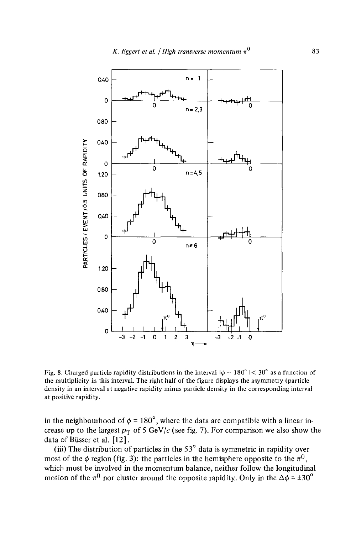

Fig. 8. Charged particle rapidity distributions in the interval  $|\phi - 180^{\circ}| < 30^{\circ}$  as a function of the multiplicity in this interval. The right half of the figure displays the asymmetry (particle density in an interval at negative rapidity minus particle density in the corresponding interval at positive rapidity.

in the neighbourhood of  $\phi = 180^\circ$ , where the data are compatible with a linear increase up to the largest  $p_T$  of 5 GeV/c (see fig. 7). For comparison we also show the data of Büsser et al.  $[12]$ .

(iii) The distribution of particles in the  $53^\circ$  data is symmetric in rapidity over most of the  $\phi$  region (fig. 3): the particles in the hemisphere opposite to the  $\pi^{0}$ , which must be involved in the momentum balance, neither follow the longitudinal motion of the  $\pi^0$  nor cluster around the opposite rapidity. Only in the  $\Delta\phi = \pm 30^\circ$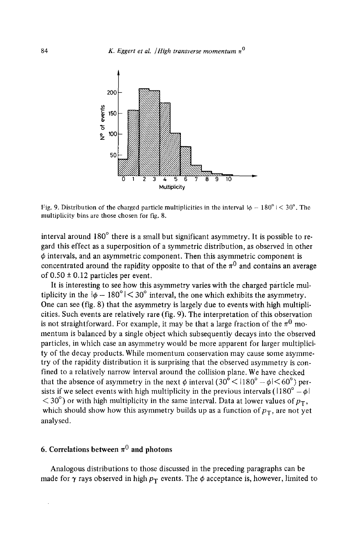

Fig. 9. Distribution of the charged particle multiplicities in the interval  $\phi - 180^\circ$   $\leq 30^\circ$ . The multiplicity bins are those chosen for fig. 8.

interval around  $180^\circ$  there is a small but significant asymmetry. It is possible to regard this effect as a superposition of a symmetric distribution, as observed in other  $\phi$  intervals, and an asymmetric component. Then this asymmetric component is concentrated around the rapidity opposite to that of the  $\pi^0$  and contains an average of  $0.50 \pm 0.12$  particles per event.

It is interesting to see how this asymmetry varies with the charged particle multiplicity in the  $|\phi - 180^\circ| < 30^\circ$  interval, the one which exhibits the asymmetry. One can see (fig. 8) that the asymmetry is largely due to events with high multiplicities. Such events are relatively rare (fig. 9). The interpretation of this observation is not straightforward. For example, it may be that a large fraction of the  $\pi^0$  momentum is balanced by a single object which subsequently decays into the observed particles, in which case an asymmetry would be more apparent for larger multiplicity of the decay products. While momentum conservation may cause some asymmetry of the rapidity distribution it is surprising that the observed asymmetry is confined to a relatively narrow interval around the collision plane. We have checked that the absence of asymmetry in the next  $\phi$  interval  $(30^{\circ} < 1180^{\circ} - \phi < 60^{\circ})$  persists if we select events with high multiplicity in the previous intervals ( $1180^\circ - \phi$ )  $<$  30°) or with high multiplicity in the same interval. Data at lower values of  $p_T$ , which should show how this asymmetry builds up as a function of  $p_T$ , are not yet analysed.

## 6. Correlations between  $\pi^0$  and photons

Analogous distributions to those discussed in the preceding paragraphs can be made for  $\gamma$  rays observed in high  $p_T$  events. The  $\phi$  acceptance is, however, limited to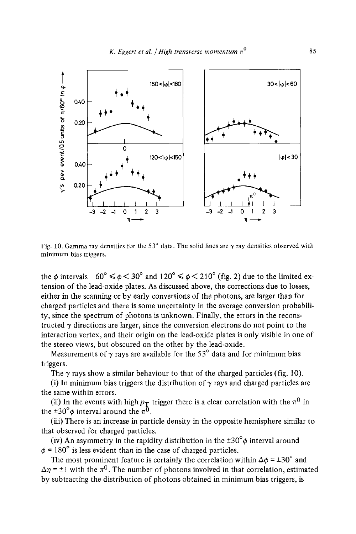

Fig. 10. Gamma ray densities for the 53° data. The solid lines are  $\gamma$  ray densities observed with minimum bias triggers.

the  $\phi$  intervals  $-60^\circ \le \phi \le 30^\circ$  and  $120^\circ \le \phi \le 210^\circ$  (fig. 2) due to the limited extension of the lead-oxide plates. As discussed above, the corrections due to losses, either in the scanning or by early conversions of the photons, are larger than for charged particles and there is some uncertainty in the average conversion probability, since the spectrum of photons is unknown. Finally, the errors in the reconstructed  $\gamma$  directions are larger, since the conversion electrons do not point to the interaction vertex, and their origin on the lead-oxide plates is only visible in one of the stereo views, but obscured on the other by the lead-oxide.

Measurements of  $\gamma$  ravs are available for the 53<sup>°</sup> data and for minimum bias triggers.

The  $\gamma$  rays show a similar behaviour to that of the charged particles (fig. 10).

(i) In minimum bias triggers the distribution of  $\gamma$  rays and charged particles are the same within errors.

(ii) In the events with high  $p_T$  trigger there is a clear correlation with the  $\pi^0$  in the  $\pm 30^{\circ} \phi$  interval around the  $\pi^0$ .

(iii) There is an increase in particle density in the opposite hemisphere similar to that observed for charged particles.

(iv) An asymmetry in the rapidity distribution in the  $\pm 30^{\circ} \phi$  interval around  $\phi$  = 180 $\degree$  is less evident than in the case of charged particles.

The most prominent feature is certainly the correlation within  $\Delta \phi = \pm 30^\circ$  and  $\Delta \eta = \pm 1$  with the  $\pi^0$ . The number of photons involved in that correlation, estimated by subtracting the distribution of photons obtained in minimum bias triggers, is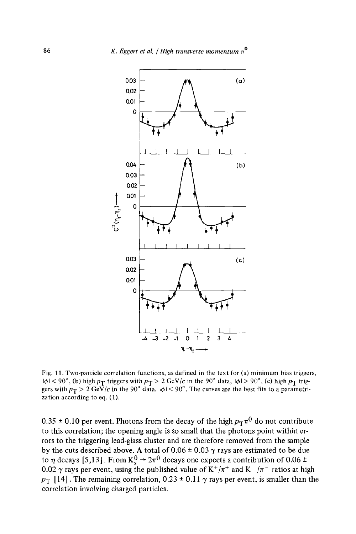

Fig. 11. Two-particle correlation functions, as defined in the text for (a) minimum bias triggers,  $1\phi$  |  $<$  90 $^{\circ}$ , (b) high  $p_{\rm T}$  triggers with  $p_{\rm T}$  > 2 GeV/c in the 90 $^{\circ}$  data,  $1\phi$  |  $>$  90 $^{\circ}$ , (c) high  $p_{\rm T}$  triggers with  $p_{\rm T} > 2$  GeV/c in the 90° data,  $|\phi|$  < 90°. The curves are the best fits to a parametrization according to eq. (1).

0.35  $\pm$  0.10 per event. Photons from the decay of the high  $p_T\pi^0$  do not contribute to this correlation; the opening angle is so small that the photons point within errors to the triggering lead-glass cluster and are therefore removed from the sample by the cuts described above. A total of  $0.06 \pm 0.03$   $\gamma$  rays are estimated to be due to  $\eta$  decays [5,13]. From  $K_s^0 \rightarrow 2\pi^0$  decays one expects a contribution of 0.06 ± 0.02  $\gamma$  rays per event, using the published value of K<sup>+</sup>/ $\pi$ <sup>+</sup> and K<sup>-</sup>/ $\pi$ <sup>-</sup> ratios at high  $p_T$  [14]. The remaining correlation, 0.23  $\pm$  0.11  $\gamma$  rays per event, is smaller than the correlation involving charged particles.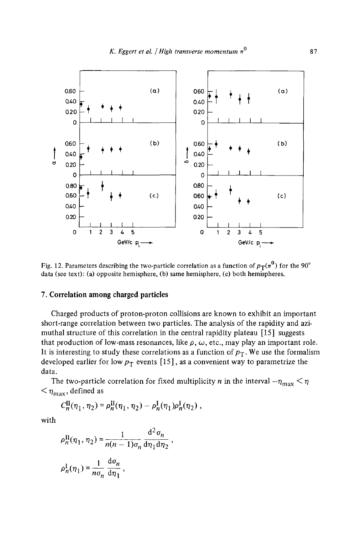

Fig. 12. Parameters describing the two-particle correlation as a function of  $p_T(\pi^0)$  for the 90° data (see text): (a) opposite hemisphere, (b) same hemisphere, (c) both hemispheres.

### 7. Correlation among charged particles

Charged products of proton-proton collisions are known to exhibit an important short-range correlation between two particles. The analysis of the rapidity and azimuthal structure of this correlation in the central rapidity plateau [15] suggests that production of low-mass resonances, like  $\rho$ ,  $\omega$ , etc., may play an important role. It is interesting to study these correlations as a function of  $p_T$ . We use the formalism developed earlier for low  $p_T$  events [15], as a convenient way to parametrize the data.

The two-particle correlation for fixed multiplicity *n* in the interval  $-\eta_{\text{max}} < \eta$  $<$   $\eta_{\text{max}}$ , defined as

$$
C_n^{\rm II}(\eta_1, \eta_2) = \rho_n^{\rm II}(\eta_1, \eta_2) - \rho_n^{\rm I}(\eta_1) \rho_n^{\rm I}(\eta_2) ,
$$

with

$$
\rho_n^{\text{II}}(\eta_1, \eta_2) = \frac{1}{n(n-1)\sigma_n} \frac{\mathrm{d}^2 \sigma_n}{\mathrm{d}\eta_1 \mathrm{d}\eta_2} ,
$$
  

$$
\rho_n^{\text{I}}(\eta_1) = \frac{1}{n\sigma_n} \frac{\mathrm{d}\sigma_n}{\mathrm{d}\eta_1} ,
$$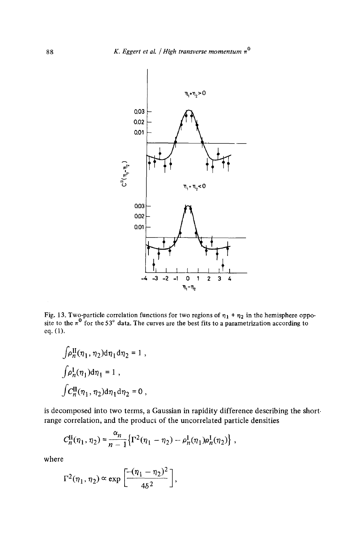

Fig. 13. Two-particle correlation functions for two regions of  $\eta_1 + \eta_2$  in the hemisphere opposite to the  $\pi^0$  for the 53<sup>°</sup> data. The curves are the best fits to a parametrization according to eq. (1).

$$
\int \rho_n^{\text{II}}(\eta_1, \eta_2) d\eta_1 d\eta_2 = 1 ,
$$
  

$$
\int \rho_n^{\text{I}}(\eta_1) d\eta_1 = 1 ,
$$
  

$$
\int C_n^{\text{II}}(\eta_1, \eta_2) d\eta_1 d\eta_2 = 0 ,
$$

is decomposed into two terms, a Gaussian in rapidity difference describing the short• range correlation, and the product of the uncorrelated particle densities

$$
C_n^{\text{II}}(\eta_1, \eta_2) = \frac{\alpha_n}{n-1} \left\{ \Gamma^2(\eta_1 - \eta_2) - \rho_n^{\text{I}}(\eta_1) \rho_n^{\text{I}}(\eta_2) \right\} \,,
$$

where

$$
\Gamma^2(\eta_1,\eta_2) \propto \exp\left[\frac{-(\eta_1-\eta_2)^2}{4\delta^2}\right],
$$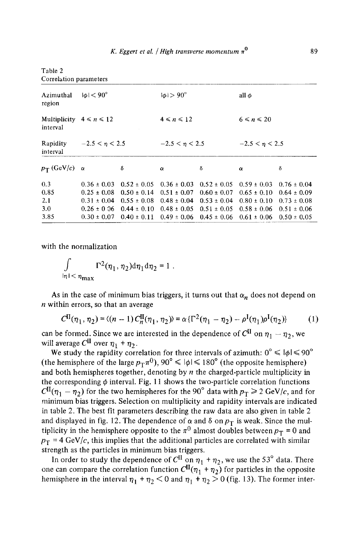| Correlation parameters                    |                            |                 |                         |                                 |                  |                 |  |  |  |  |  |
|-------------------------------------------|----------------------------|-----------------|-------------------------|---------------------------------|------------------|-----------------|--|--|--|--|--|
| Azimuthal<br>region                       | $ \phi $ $<$ 90 $^{\circ}$ |                 | $  \phi   > 90^{\circ}$ |                                 | all $\phi$       |                 |  |  |  |  |  |
| Multiplicity $4 \le n \le 12$<br>interval |                            |                 | $4 \leq n \leq 12$      |                                 | $6 \le n \le 20$ |                 |  |  |  |  |  |
| Rapidity<br>interval                      | $-2.5 < n < 2.5$           |                 | $-2.5 < n < 2.5$        |                                 | $-2.5 < n < 2.5$ |                 |  |  |  |  |  |
| $p_T$ (GeV/c) $\alpha$                    |                            | δ               | $\alpha$                | δ                               | $\alpha$         | δ               |  |  |  |  |  |
| 0.3                                       | $0.36 \pm 0.03$            | $0.52 \pm 0.05$ |                         | $0.36 \pm 0.03$ $0.52 \pm 0.05$ | $0.59 \pm 0.03$  | $0.76 \pm 0.04$ |  |  |  |  |  |
| 0.85                                      | $0.25 \pm 0.08$            | $0.50 \pm 0.14$ | $0.51 \pm 0.07$         | $0.60 \pm 0.07$                 | $0.65 \pm 0.10$  | $0.64 \pm 0.09$ |  |  |  |  |  |
| 2.1                                       | $0.31 \pm 0.04$            | $0.55 \pm 0.08$ |                         | $0.48 \pm 0.04$ $0.53 \pm 0.04$ | $0.80 \pm 0.10$  | $0.73 \pm 0.08$ |  |  |  |  |  |
| 3.0                                       | $0.26 \pm 0.06$            | $0.44 \pm 0.10$ |                         | $0.48 \pm 0.05$ $0.51 \pm 0.05$ | $0.58 \pm 0.06$  | $0.51 \pm 0.06$ |  |  |  |  |  |
| 3.85                                      | $0.30 \pm 0.07$            | $0.40 \pm 0.11$ | $0.49 \pm 0.06$         | $0.45 \pm 0.06$                 | $0.61 \pm 0.06$  | $0.50 \pm 0.05$ |  |  |  |  |  |

with the normalization

Table 2

 $\int \Gamma^2(\eta_1, \eta_2) d\eta_1 d\eta_2 = 1$ .  $|\eta| < \eta_{\rm max}$ 

As in the case of minimum bias triggers, it turns out that  $\alpha_n$  does not depend on  $n$  within errors, so that an average

$$
C^{II}(\eta_1, \eta_2) = \langle (n-1) C_n^{II}(\eta_1, \eta_2) \rangle = \alpha \{ \Gamma^2(\eta_1 - \eta_2) - \rho^I(\eta_1) \rho^I(\eta_2) \} \tag{1}
$$

can be formed. Since we are interested in the dependence of  $C^{II}$  on  $\eta_1 - \eta_2$ , we will average  $C^{II}$  over  $\eta_1 + \eta_2$ .

We study the rapidity correlation for three intervals of azimuth:  $0^{\circ} \leq \vert \phi \vert \leq 90^{\circ}$ (the hemisphere of the large  $p_T\pi^0$ ),  $90^\circ \le |\phi| \le 180^\circ$  (the opposite hemisphere) and both hemispheres together, denoting by  $n$  the charged-particle multiplicity in the corresponding  $\phi$  interval. Fig. 11 shows the two-particle correlation functions  $Cl<sup>I</sup>(\eta_1 - \eta_2)$  for the two hemispheres for the 90° data with  $p_T \ge 2$  GeV/c, and for minimum bias triggers. Selection on multiplicity and rapidity intervals are indicated in table 2. The best fit parameters describing the raw data are also given in table 2 and displayed in fig. 12. The dependence of  $\alpha$  and  $\delta$  on  $p_T$  is weak. Since the multiplicity in the hemisphere opposite to the  $\pi^0$  almost doubles between  $p_T = 0$  and  $p_T = 4 \text{ GeV}/c$ , this implies that the additional particles are correlated with similar strength as the particles in minimum bias triggers.

In order to study the dependence of  $Cl^{\mathbf{I}}$  on  $\eta_1 + \eta_2$ , we use the 53° data. There one can compare the correlation function  $Cl<sup>I</sup>(\eta_1 + \eta_2)$  for particles in the opposite hemisphere in the interval  $\eta_1 + \eta_2 < 0$  and  $\eta_1 + \eta_2 > 0$  (fig. 13). The former inter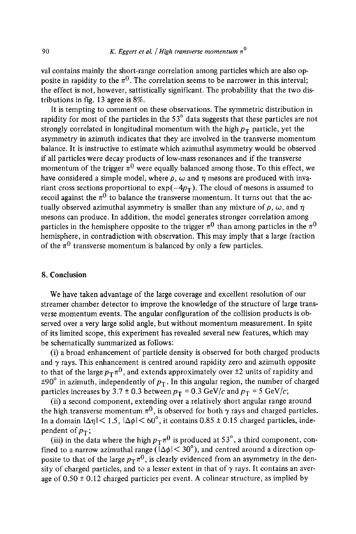val contains mainly the short-range correlation among particles which are also opposite in rapidity to the  $\pi^0$ . The correlation seems to be narrower in this interval; the effect is not, however, sattistically significant. The probability that the two distributions in fig. 13 agree is 8%.

It is tempting to comment on these observations. The symmetric distribution in rapidity for most of the particles in the 53° data suggests that these particles are not strongly correlated in longitudinal momentum with the high  $p_T$  particle, yet the asymmetry in azimuth indicates that they are involved in the transverse momentum balance. It is instructive to estimate which azimuthal asymmetry would be observed if all particles were decay products of low-mass resonances and if the transverse momentum of the trigger  $\pi^0$  were equally balanced among those. To this effect, we have considered a simple model, where  $\rho$ ,  $\omega$  and  $\eta$  mesons are produced with invariant cross sections proportional to  $exp(-4p_T)$ . The cloud of mesons is assumed to recoil against the  $\pi^0$  to balance the transverse momentum. It turns out that the actually observed azimuthal asymmetry is smaller than any mixture of  $\rho$ ,  $\omega$ , and  $\eta$ mesons can produce. In addition, the model generates stronger correlation among particles in the hemisphere opposite to the trigger  $\pi^0$  than among particles in the  $\pi^0$ hemisphere, in contradiction with observation. This may imply that a large fraction of the  $\pi^0$  transverse momentum is balanced by only a few particles.

### 8. Conclusion

We have taken advantage of the large coverage and excellent resolution of our streamer chamber detector to improve the knowledge of the structure of large transverse momentum events. The angular configuration of the collision products is observed over a very large solid angle, but without momentum measurement. In spite of its limited scope, this experiment has revealed several new features, which may be schematically summarized as follows:

(i) a broad enhancement of particle density is observed for both charged products and  $\gamma$  rays. This enhancement is centred around rapidity zero and azimuth opposite to that of the large  $p_T \pi^0$ , and extends approximately over  $\pm 2$  units of rapidity and  $\pm 90^\circ$  in azimuth, independently of  $p_T$ . In this angular region, the number of charged particles increases by 3.7  $\pm$  0.3 between  $p_T = 0.3$  GeV/c and  $p_T = 5$  GeV/c;

(ii) a second component, extending over a relatively short angular range around the high transverse momentum  $\pi^0$ , is observed for both  $\gamma$  rays and charged particles. In a domain  $|\Delta \eta| < 1.5$ ,  $|\Delta \phi| < 60^{\circ}$ , it contains 0.85  $\pm$  0.15 charged particles, independent of  $p_T$ ;

(iii) in the data where the high  $p_T \pi^0$  is produced at 53°, a third component, confined to a narrow azimuthal range ( $1\Delta\phi$  |  $\langle 30^\circ \rangle$ ), and centred around a direction opposite to that of the large  $p_T \pi^0$ , is clearly evidenced from an asymmetry in the density of charged particles, and to a lesser extent in that of  $\gamma$  rays. It contains an average of  $0.50 \pm 0.12$  charged particles per event. A colinear structure, as implied by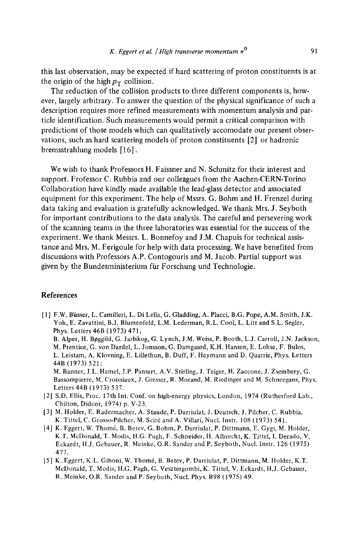**this last observation, may be expected if hard scattering of proton constituents is at**  the origin of the high  $p_T$  collision.

**The reduction of the collision products to three different components is, however, largely arbitrary. To answer the question of the physical significance of such a description requires more refined measurements with momentum analysis and particle identification. Such measurements would permit a critical comparison with predictions of those models which can qualitatively accomodate our present observations, such as hard scattering models of proton constituents [2] or hadronic bremsstrahlung models [16].** 

**We wish to thank Professors H. Faissner and N. Schmitz for their interest and support. Frofessor C. Rubbia and our colleagues from the Aachen-CERN-Torino Collaboration have kindly made available the lead-glass detector and associated equipment for this experiment. The help of Mssrs. G. Bohm and H. Frenzel during data taking and evaluation is gratefully acknowledged. We thank Mrs. J. Seyboth for important contributions to the data analysis. The careful and persevering work of the scanning teams in the three laboratories was essential for the success of the experiment. We thank Messrs. L. Bonnefoy and J.M. Chapuis for technical assistance and Mrs. M. Ferigoule for help with data processing. We have benefited from discussions with Professors A.P. Contogouris and M. Jacob. Partial support was given by the Bundesministerium fiir Forschung und Technologie.** 

### **References**

- [1] F.W. Biisser, L. Camilleri, L. Di Lella, G. Gladding, A. Placci, B.G. Pope, A.M. Smith, J.K. Yoh, E. Zavattini, B.J. Blumenfeld, L.M. Lederman, R.L. Cool, L. **Litt and S.L. Segler,**  Phys. Letters 46B (1973) 471; B. Alper, H. Bøggild, G. Jarlskog, G. Lynch, J.M. Weiss, P. Booth, L.J. Carroll, J.N. Jackson, M. Prentice, G. **yon Dardel, L. Jonsson,** G. Damgaard, K.H. Hansen, E. Lohse, F. Bulos, L. Leistam, A. Klovning, E. Lillethun, B. Duff, F. **Heymann and D. Quarrie, Phys. Letters**  44B (1973) 521; M. Banner, J.L. Hamel, J.P. Pansart, A.V. Stirling, J. Teiger, H. Zaccone, J. Zsembery, G. **Bassompierre, M. Croissiaux,** J. Gresser, R. Morand, M. **Riedinger and M. Schneegans,** Phys. **Letters** 44B (1973) 537.
- [2] S.D. Ellis, Proc. 17th Int. **Conf. on high-energy physics, London, 1974 (Rutherford** Lab., **Chilton, Didcot,** 1974) p. V-23.
- [3] M. Holder, E. Radermacher, A. Staude, P. Darriulat, J. Deutsch, J. Pilcher, C. **Rubbia,**  K. Tittel, C. Grosso-Pilcher, M. Scir6 and A. **Villari, Nucl. Instr.** 108 (1973) 541.
- [4] K. Eggert, W. Thom~, B. Betev, G. Bohm, P. Darriulat, P. Dittmann, E. Gygi, M. **Holder,**  K.T. McDonald, T. Modis, H.G. Pugh, F. Schneider, H. Albrecht, K. Tittel, I. Derado, V. **Eckardt,** H.J. Gebauer, R. Meinke, O.R. **Sander and** P. Seyboth, **Nucl. Instr.** 126 (1975) 477.
- [5] K. Eggert, K.L. Giboni, W. Thomé, B. Betev, P. Darriulat, P. Dittmann, M. Holder, K.T. **McDonald,** T. Modis, H.G. Pugh, G. Vesztergombi, K. Tittel, V. Eckardt, H.J. Gebaucr, R. Meinke, O.R. **Sander and** P. Seyboth, Nucl. Phys. B98 (1975) 49.